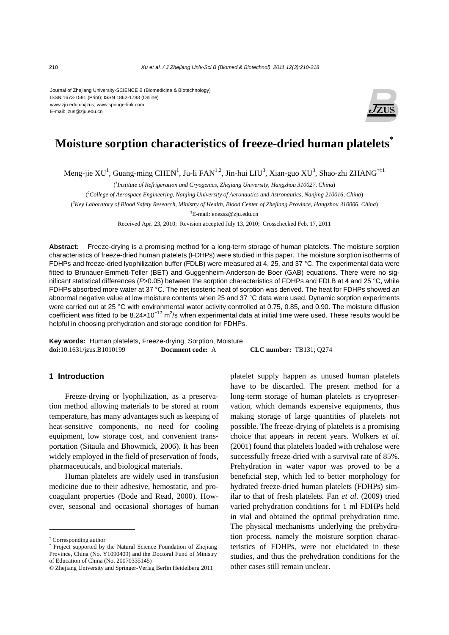Journal of Zhejiang University-SCIENCE B (Biomedicine & Biotechnology) ISSN 1673-1581 (Print); ISSN 1862-1783 (Online) www.zju.edu.cn/jzus; www.springerlink.com E-mail: jzus@zju.edu.cn



# **Moisture sorption characteristics of freeze-dried human platelets\***

Meng-jie XU<sup>1</sup>, Guang-ming CHEN<sup>1</sup>, Ju-li FAN<sup>1,2</sup>, Jin-hui LIU<sup>3</sup>, Xian-guo XU<sup>3</sup>, Shao-zhi ZHANG<sup>†‡1</sup>

( *1 Institute of Refrigeration and Cryogenics, Zhejiang University, Hangzhou 310027, China*)

( *2 College of Aerospace Engineering, Nanjing University of Aeronautics and Astronautics, Nanjing 210016, China*)

( *3 Key Laboratory of Blood Safety Research, Ministry of Health, Blood Center of Zhejiang Province, Hangzhou 310006, China*)

† E-mail: enezsz@zju.edu.cn

Received Apr. 23, 2010; Revision accepted July 13, 2010; Crosschecked Feb. 17, 2011

**Abstract:** Freeze-drying is a promising method for a long-term storage of human platelets. The moisture sorption characteristics of freeze-dried human platelets (FDHPs) were studied in this paper. The moisture sorption isotherms of FDHPs and freeze-dried lyophilization buffer (FDLB) were measured at 4, 25, and 37 °C. The experimental data were fitted to Brunauer-Emmett-Teller (BET) and Guggenheim-Anderson-de Boer (GAB) equations. There were no significant statistical differences (*P*>0.05) between the sorption characteristics of FDHPs and FDLB at 4 and 25 °C, while FDHPs absorbed more water at 37 °C. The net isosteric heat of sorption was derived. The heat for FDHPs showed an abnormal negative value at low moisture contents when 25 and 37 °C data were used. Dynamic sorption experiments were carried out at 25 °C with environmental water activity controlled at 0.75, 0.85, and 0.90. The moisture diffusion coefficient was fitted to be 8.24×10<sup>-12</sup> m<sup>2</sup>/s when experimental data at initial time were used. These results would be helpful in choosing prehydration and storage condition for FDHPs.

**Key words:** Human platelets, Freeze-drying, Sorption, Moisture **doi:**10.1631/jzus.B1010199 **Document code:** A **CLC number:** TB131; Q274

# **1 Introduction**

Freeze-drying or lyophilization, as a preservation method allowing materials to be stored at room temperature, has many advantages such as keeping of heat-sensitive components, no need for cooling equipment, low storage cost, and convenient transportation (Sitaula and Bhowmick, 2006). It has been widely employed in the field of preservation of foods, pharmaceuticals, and biological materials.

Human platelets are widely used in transfusion medicine due to their adhesive, hemostatic, and procoagulant properties (Bode and Read, 2000). However, seasonal and occasional shortages of human

platelet supply happen as unused human platelets have to be discarded. The present method for a long-term storage of human platelets is cryopreservation, which demands expensive equipments, thus making storage of large quantities of platelets not possible. The freeze-drying of platelets is a promising choice that appears in recent years. Wolkers *et al*. (2001) found that platelets loaded with trehalose were successfully freeze-dried with a survival rate of 85%. Prehydration in water vapor was proved to be a beneficial step, which led to better morphology for hydrated freeze-dried human platelets (FDHPs) similar to that of fresh platelets. Fan *et al*. (2009) tried varied prehydration conditions for 1 ml FDHPs held in vial and obtained the optimal prehydration time. The physical mechanisms underlying the prehydration process, namely the moisture sorption characteristics of FDHPs, were not elucidated in these studies, and thus the prehydration conditions for the other cases still remain unclear.

<sup>‡</sup> Corresponding author

<sup>\*</sup> Project supported by the Natural Science Foundation of Zhejiang Province, China (No. Y1090409) and the Doctoral Fund of Ministry of Education of China (No. 20070335145)

<sup>©</sup> Zhejiang University and Springer-Verlag Berlin Heidelberg 2011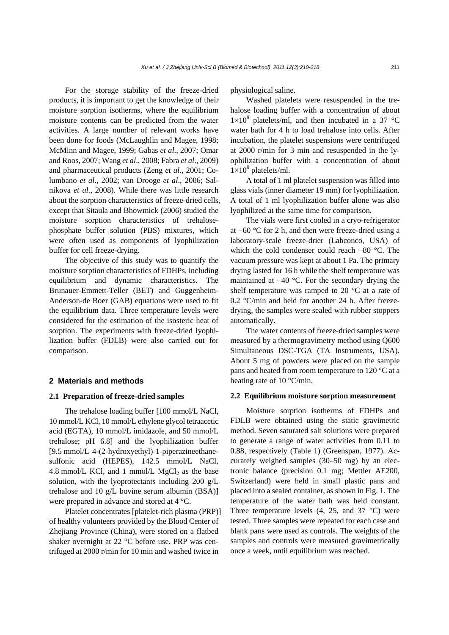For the storage stability of the freeze-dried products, it is important to get the knowledge of their moisture sorption isotherms, where the equilibrium moisture contents can be predicted from the water activities. A large number of relevant works have been done for foods (McLaughlin and Magee, 1998; McMinn and Magee, 1999; Gabas *et al*., 2007; Omar and Roos, 2007; Wang *et al*., 2008; Fabra *et al*., 2009) and pharmaceutical products (Zeng *et al*., 2001; Columbano *et al*., 2002; van Drooge *et al*., 2006; Salnikova *et al*., 2008). While there was little research about the sorption characteristics of freeze-dried cells, except that Sitaula and Bhowmick (2006) studied the moisture sorption characteristics of trehalosephosphate buffer solution (PBS) mixtures, which were often used as components of lyophilization buffer for cell freeze-drying.

The objective of this study was to quantify the moisture sorption characteristics of FDHPs, including equilibrium and dynamic characteristics. The Brunauer-Emmett-Teller (BET) and Guggenheim-Anderson-de Boer (GAB) equations were used to fit the equilibrium data. Three temperature levels were considered for the estimation of the isosteric heat of sorption. The experiments with freeze-dried lyophilization buffer (FDLB) were also carried out for comparison.

## **2 Materials and methods**

## **2.1 Preparation of freeze-dried samples**

The trehalose loading buffer [100 mmol/L NaCl, 10 mmol/L KCl, 10 mmol/L ethylene glycol tetraacetic acid (EGTA), 10 mmol/L imidazole, and 50 mmol/L trehalose; pH 6.8] and the lyophilization buffer [9.5 mmol/L 4-(2-hydroxyethyl)-1-piperazineethanesulfonic acid (HEPES), 142.5 mmol/L NaCl, 4.8 mmol/L KCl, and 1 mmol/L  $MgCl<sub>2</sub>$  as the base solution, with the lyoprotectants including 200 g/L trehalose and 10 g/L bovine serum albumin (BSA)] were prepared in advance and stored at 4 °C.

Platelet concentrates [platelet-rich plasma (PRP)] of healthy volunteers provided by the Blood Center of Zhejiang Province (China), were stored on a flatbed shaker overnight at 22 °C before use. PRP was centrifuged at 2000 r/min for 10 min and washed twice in

physiological saline.

Washed platelets were resuspended in the trehalose loading buffer with a concentration of about  $1\times10^{9}$  platelets/ml, and then incubated in a 37 °C water bath for 4 h to load trehalose into cells. After incubation, the platelet suspensions were centrifuged at 2000 r/min for 3 min and resuspended in the lyophilization buffer with a concentration of about  $1\times10^9$  platelets/ml.

A total of 1 ml platelet suspension was filled into glass vials (inner diameter 19 mm) for lyophilization. A total of 1 ml lyophilization buffer alone was also lyophilized at the same time for comparison.

The vials were first cooled in a cryo-refrigerator at −60 °C for 2 h, and then were freeze-dried using a laboratory-scale freeze-drier (Labconco, USA) of which the cold condenser could reach −80 °C. The vacuum pressure was kept at about 1 Pa. The primary drying lasted for 16 h while the shelf temperature was maintained at −40 °C. For the secondary drying the shelf temperature was ramped to 20 °C at a rate of 0.2 °C/min and held for another 24 h. After freezedrying, the samples were sealed with rubber stoppers automatically.

The water contents of freeze-dried samples were measured by a thermogravimetry method using Q600 Simultaneous DSC-TGA (TA Instruments, USA). About 5 mg of powders were placed on the sample pans and heated from room temperature to 120 °C at a heating rate of 10 °C/min.

#### **2.2 Equilibrium moisture sorption measurement**

Moisture sorption isotherms of FDHPs and FDLB were obtained using the static gravimetric method. Seven saturated salt solutions were prepared to generate a range of water activities from 0.11 to 0.88, respectively (Table 1) (Greenspan, 1977). Accurately weighed samples (30–50 mg) by an electronic balance (precision 0.1 mg; Mettler AE200, Switzerland) were held in small plastic pans and placed into a sealed container, as shown in Fig. 1. The temperature of the water bath was held constant. Three temperature levels  $(4, 25,$  and  $37 \degree C)$  were tested. Three samples were repeated for each case and blank pans were used as controls. The weights of the samples and controls were measured gravimetrically once a week, until equilibrium was reached.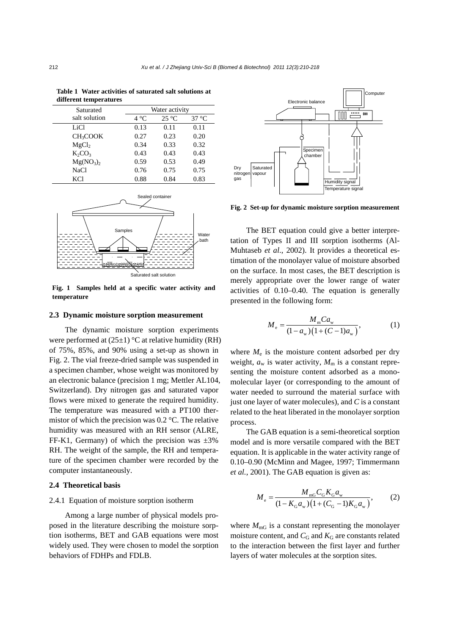| Saturated                         | Water activity                          |      |      |  |  |
|-----------------------------------|-----------------------------------------|------|------|--|--|
| salt solution                     | $25^{\circ}C$<br>$37^{\circ}$ C<br>4 °C |      |      |  |  |
| LiCl                              | 0.13                                    | 0.11 | 0.11 |  |  |
| CH <sub>3</sub> COOK              | 0.27                                    | 0.23 | 0.20 |  |  |
| MgCl <sub>2</sub>                 | 0.34                                    | 0.33 | 0.32 |  |  |
| $K_2CO_3$                         | 0.43                                    | 0.43 | 0.43 |  |  |
| Mg(NO <sub>3</sub> ) <sub>2</sub> | 0.59                                    | 0.53 | 0.49 |  |  |
| <b>NaCl</b>                       | 0.76                                    | 0.75 | 0.75 |  |  |
| <b>KCI</b>                        | 0.88                                    | 0.84 | 0.83 |  |  |

**Table 1 Water activities of saturated salt solutions at** 



**Fig. 1 Samples held at a specific water activity and temperature**

#### **2.3 Dynamic moisture sorption measurement**

The dynamic moisture sorption experiments were performed at  $(25\pm 1)$  °C at relative humidity (RH) of 75%, 85%, and 90% using a set-up as shown in Fig. 2. The vial freeze-dried sample was suspended in a specimen chamber, whose weight was monitored by an electronic balance (precision 1 mg; Mettler AL104, Switzerland). Dry nitrogen gas and saturated vapor flows were mixed to generate the required humidity. The temperature was measured with a PT100 thermistor of which the precision was 0.2 °C. The relative humidity was measured with an RH sensor (ALRE, FF-K1, Germany) of which the precision was  $\pm 3\%$ RH. The weight of the sample, the RH and temperature of the specimen chamber were recorded by the computer instantaneously.

#### **2.4 Theoretical basis**

## 2.4.1 Equation of moisture sorption isotherm

Among a large number of physical models proposed in the literature describing the moisture sorption isotherms, BET and GAB equations were most widely used. They were chosen to model the sorption behaviors of FDHPs and FDLB.



**Fig. 2 Set-up for dynamic moisture sorption measurement**

The BET equation could give a better interpretation of Types II and III sorption isotherms (Al-Muhtaseb *et al*., 2002). It provides a theoretical estimation of the monolayer value of moisture absorbed on the surface. In most cases, the BET description is merely appropriate over the lower range of water activities of 0.10–0.40. The equation is generally presented in the following form:

$$
M_e = \frac{M_{\rm m} C a_{\rm w}}{(1 - a_{\rm w})(1 + (C - 1)a_{\rm w})},\tag{1}
$$

where  $M_e$  is the moisture content adsorbed per dry weight,  $a_w$  is water activity,  $M_m$  is a constant representing the moisture content adsorbed as a monomolecular layer (or corresponding to the amount of water needed to surround the material surface with just one layer of water molecules), and *C* is a constant related to the heat liberated in the monolayer sorption process.

The GAB equation is a semi-theoretical sorption model and is more versatile compared with the BET equation. It is applicable in the water activity range of 0.10–0.90 (McMinn and Magee, 1997; Timmermann *et al.*, 2001). The GAB equation is given as:

$$
M_{\rm e} = \frac{M_{\rm mg} C_{\rm G} K_{\rm G} a_{\rm w}}{(1 - K_{\rm G} a_{\rm w})(1 + (C_{\rm G} - 1)K_{\rm G} a_{\rm w})},\tag{2}
$$

where  $M_{\text{mG}}$  is a constant representing the monolayer moisture content, and  $C_G$  and  $K_G$  are constants related to the interaction between the first layer and further layers of water molecules at the sorption sites.

**different temperatures**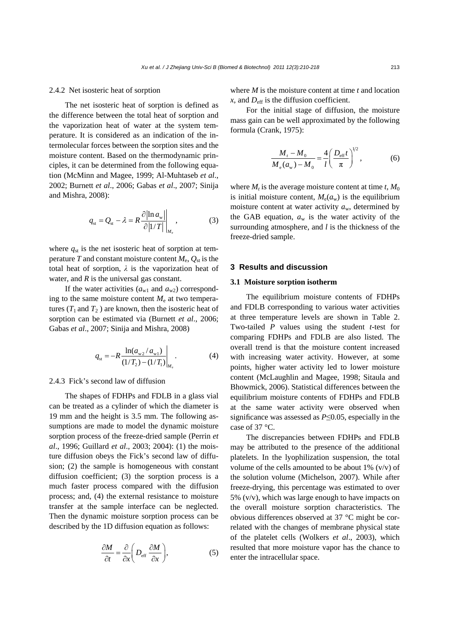#### 2.4.2 Net isosteric heat of sorption

The net isosteric heat of sorption is defined as the difference between the total heat of sorption and the vaporization heat of water at the system temperature. It is considered as an indication of the intermolecular forces between the sorption sites and the moisture content. Based on the thermodynamic principles, it can be determined from the following equation (McMinn and Magee, 1999; Al-Muhtaseb *et al*., 2002; Burnett *et al*., 2006; Gabas *et al*., 2007; Sinija and Mishra, 2008):

$$
q_{\rm st} = Q_{\rm st} - \lambda = R \frac{\partial |\ln a_{\rm w}|}{\partial |1/T|} \bigg|_{M_{\rm e}}, \tag{3}
$$

where  $q_{st}$  is the net isosteric heat of sorption at temperature *T* and constant moisture content  $M_e$ ,  $Q_{st}$  is the total heat of sorption,  $\lambda$  is the vaporization heat of water, and *R* is the universal gas constant.

If the water activities  $(a_{w1}$  and  $a_{w2})$  corresponding to the same moisture content  $M<sub>e</sub>$  at two temperatures ( $T_1$  and  $T_2$ ) are known, then the isosteric heat of sorption can be estimated via (Burnett *et al*., 2006; Gabas *et al*., 2007; Sinija and Mishra, 2008)

$$
q_{\rm st} = -R \frac{\ln(a_{\rm w2}/a_{\rm w1})}{(1/T_2) - (1/T_1)}\bigg|_{M_{\rm c}}.\tag{4}
$$

## 2.4.3 Fick's second law of diffusion

The shapes of FDHPs and FDLB in a glass vial can be treated as a cylinder of which the diameter is 19 mm and the height is 3.5 mm. The following assumptions are made to model the dynamic moisture sorption process of the freeze-dried sample (Perrin *et al*., 1996; Guillard *et al*., 2003; 2004): (1) the moisture diffusion obeys the Fick's second law of diffusion; (2) the sample is homogeneous with constant diffusion coefficient; (3) the sorption process is a much faster process compared with the diffusion process; and, (4) the external resistance to moisture transfer at the sample interface can be neglected. Then the dynamic moisture sorption process can be described by the 1D diffusion equation as follows:

$$
\frac{\partial M}{\partial t} = \frac{\partial}{\partial x} \left( D_{\text{eff}} \frac{\partial M}{\partial x} \right),\tag{5}
$$

where *M* is the moisture content at time *t* and location  $x$ , and  $D_{\text{eff}}$  is the diffusion coefficient.

For the initial stage of diffusion, the moisture mass gain can be well approximated by the following formula (Crank, 1975):

$$
\frac{M_t - M_0}{M_e(a_w) - M_0} = \frac{4}{l} \left( \frac{D_{\text{eff}}t}{\pi} \right)^{1/2},
$$
 (6)

where  $M_t$  is the average moisture content at time  $t$ ,  $M_0$ is initial moisture content,  $M_e(a_w)$  is the equilibrium moisture content at water activity *a*w, determined by the GAB equation,  $a_w$  is the water activity of the surrounding atmosphere, and *l* is the thickness of the freeze-dried sample.

## **3 Results and discussion**

#### **3.1 Moisture sorption isotherm**

The equilibrium moisture contents of FDHPs and FDLB corresponding to various water activities at three temperature levels are shown in Table 2. Two-tailed *P* values using the student *t*-test for comparing FDHPs and FDLB are also listed. The overall trend is that the moisture content increased with increasing water activity. However, at some points, higher water activity led to lower moisture content (McLaughlin and Magee, 1998; Sitaula and Bhowmick, 2006). Statistical differences between the equilibrium moisture contents of FDHPs and FDLB at the same water activity were observed when significance was assessed as *P*≤0.05, especially in the case of 37 °C.

The discrepancies between FDHPs and FDLB may be attributed to the presence of the additional platelets. In the lyophilization suspension, the total volume of the cells amounted to be about  $1\%$  (v/v) of the solution volume (Michelson, 2007). While after freeze-drying, this percentage was estimated to over 5% (v/v), which was large enough to have impacts on the overall moisture sorption characteristics. The obvious differences observed at 37 °C might be correlated with the changes of membrane physical state of the platelet cells (Wolkers *et al*., 2003), which resulted that more moisture vapor has the chance to enter the intracellular space.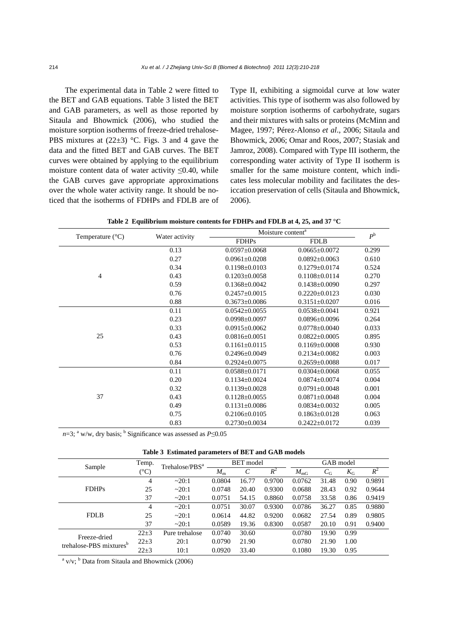The experimental data in Table 2 were fitted to the BET and GAB equations. Table 3 listed the BET and GAB parameters, as well as those reported by Sitaula and Bhowmick (2006), who studied the moisture sorption isotherms of freeze-dried trehalose-PBS mixtures at  $(22\pm3)$  °C. Figs. 3 and 4 gave the data and the fitted BET and GAB curves. The BET curves were obtained by applying to the equilibrium moisture content data of water activity  $\leq 0.40$ , while the GAB curves gave appropriate approximations over the whole water activity range. It should be noticed that the isotherms of FDHPs and FDLB are of Type II, exhibiting a sigmoidal curve at low water activities. This type of isotherm was also followed by moisture sorption isotherms of carbohydrate, sugars and their mixtures with salts or proteins (McMinn and Magee, 1997; Pérez-Alonso *et al*., 2006; Sitaula and Bhowmick, 2006; Omar and Roos, 2007; Stasiak and Jamroz, 2008). Compared with Type III isotherm, the corresponding water activity of Type II isotherm is smaller for the same moisture content, which indicates less molecular mobility and facilitates the desiccation preservation of cells (Sitaula and Bhowmick, 2006).

|  | Table 2 Equilibrium moisture contents for FDHPs and FDLB at 4, 25, and 37 $^{\circ}{\rm C}$ |  |  |  |  |  |  |  |
|--|---------------------------------------------------------------------------------------------|--|--|--|--|--|--|--|
|--|---------------------------------------------------------------------------------------------|--|--|--|--|--|--|--|

| Temperature (°C) |                | Moisture content <sup>a</sup> | $P^{\rm b}$         |       |
|------------------|----------------|-------------------------------|---------------------|-------|
|                  | Water activity | <b>FDHPs</b>                  | <b>FDLB</b>         |       |
|                  | 0.13           | $0.0597 \pm 0.0068$           | $0.0665 \pm 0.0072$ | 0.299 |
|                  | 0.27           | $0.0961 \pm 0.0208$           | $0.0892 \pm 0.0063$ | 0.610 |
|                  | 0.34           | $0.1198 \pm 0.0103$           | $0.1279 \pm 0.0174$ | 0.524 |
| $\overline{4}$   | 0.43           | $0.1203 \pm 0.0058$           | $0.1108 \pm 0.0114$ | 0.270 |
|                  | 0.59           | $0.1368 \pm 0.0042$           | $0.1438 \pm 0.0090$ | 0.297 |
|                  | 0.76           | $0.2457 \pm 0.0015$           | $0.2220 \pm 0.0123$ | 0.030 |
|                  | 0.88           | $0.3673 \pm 0.0086$           | $0.3151 \pm 0.0207$ | 0.016 |
|                  | 0.11           | $0.0542 \pm 0.0055$           | $0.0538 \pm 0.0041$ | 0.921 |
|                  | 0.23           | $0.0998 \pm 0.0097$           | $0.0896 \pm 0.0096$ | 0.264 |
|                  | 0.33           | $0.0915 \pm 0.0062$           | $0.0778 \pm 0.0040$ | 0.033 |
| 25               | 0.43           | $0.0816 \pm 0.0051$           | $0.0822 \pm 0.0005$ | 0.895 |
|                  | 0.53           | $0.1161 \pm 0.0115$           | $0.1169 \pm 0.0008$ | 0.930 |
|                  | 0.76           | $0.2496 \pm 0.0049$           | $0.2134 \pm 0.0082$ | 0.003 |
|                  | 0.84           | $0.2924 \pm 0.0075$           | $0.2659 \pm 0.0088$ | 0.017 |
| 37               | 0.11           | $0.0588 \pm 0.0171$           | $0.0304 \pm 0.0068$ | 0.055 |
|                  | 0.20           | $0.1134 \pm 0.0024$           | $0.0874 + 0.0074$   | 0.004 |
|                  | 0.32           | $0.1139 \pm 0.0028$           | $0.0791 \pm 0.0048$ | 0.001 |
|                  | 0.43           | $0.1128 \pm 0.0055$           | $0.0871 \pm 0.0048$ | 0.004 |
|                  | 0.49           | $0.1131 \pm 0.0086$           | $0.0834 \pm 0.0032$ | 0.005 |
|                  | 0.75           | $0.2106 \pm 0.0105$           | $0.1863 \pm 0.0128$ | 0.063 |
|                  | 0.83           | $0.2730 \pm 0.0034$           | $0.2422 \pm 0.0172$ | 0.039 |

*n*=3; <sup>a</sup> w/w, dry basis; <sup>b</sup> Significance was assessed as *P*≤0.05

| Sample                                              | Temp.    | Trehalose/PBS <sup>a</sup> | <b>BET</b> model |       |        | GAB model    |             |             |        |
|-----------------------------------------------------|----------|----------------------------|------------------|-------|--------|--------------|-------------|-------------|--------|
|                                                     | (°C)     |                            | $M_{\rm m}$      |       | $R^2$  | $M_{\rm mG}$ | $C_{\rm G}$ | $K_{\rm G}$ | $R^2$  |
| <b>FDHPs</b>                                        | 4        | ~20:1                      | 0.0804           | 16.77 | 0.9700 | 0.0762       | 31.48       | 0.90        | 0.9891 |
|                                                     | 25       | ~20:1                      | 0.0748           | 20.40 | 0.9300 | 0.0688       | 28.43       | 0.92        | 0.9644 |
|                                                     | 37       | ~20:1                      | 0.0751           | 54.15 | 0.8860 | 0.0758       | 33.58       | 0.86        | 0.9419 |
| <b>FDLB</b>                                         | 4        | ~20:1                      | 0.0751           | 30.07 | 0.9300 | 0.0786       | 36.27       | 0.85        | 0.9880 |
|                                                     | 25       | ~20:1                      | 0.0614           | 44.82 | 0.9200 | 0.0682       | 27.54       | 0.89        | 0.9805 |
|                                                     | 37       | ~20:1                      | 0.0589           | 19.36 | 0.8300 | 0.0587       | 20.10       | 0.91        | 0.9400 |
| Freeze-dried<br>trehalose-PBS mixtures <sup>b</sup> | $22\pm3$ | Pure trehalose             | 0.0740           | 30.60 |        | 0.0780       | 19.90       | 0.99        |        |
|                                                     | $22\pm3$ | 20:1                       | 0.0790           | 21.90 |        | 0.0780       | 21.90       | 1.00        |        |
|                                                     | $22\pm3$ | 10:1                       | 0.0920           | 33.40 |        | 0.1080       | 19.30       | 0.95        |        |

 $a$  v/v;  $b$  Data from Sitaula and Bhowmick (2006)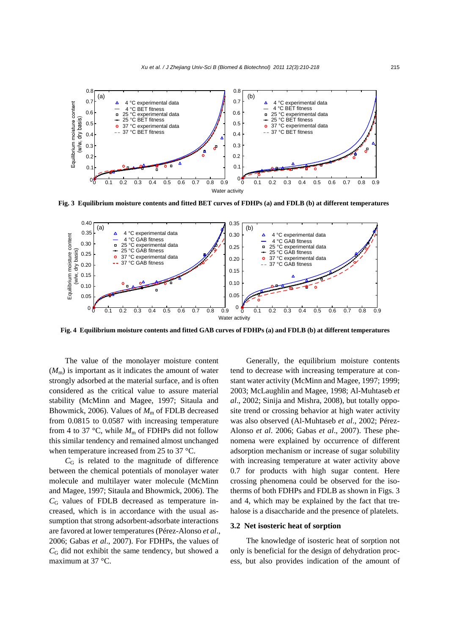

**Fig. 3 Equilibrium moisture contents and fitted BET curves of FDHPs (a) and FDLB (b) at different temperatures**



**Fig. 4 Equilibrium moisture contents and fitted GAB curves of FDHPs (a) and FDLB (b) at different temperatures**

The value of the monolayer moisture content  $(M<sub>m</sub>)$  is important as it indicates the amount of water strongly adsorbed at the material surface, and is often considered as the critical value to assure material stability (McMinn and Magee, 1997; Sitaula and Bhowmick, 2006). Values of  $M<sub>m</sub>$  of FDLB decreased from 0.0815 to 0.0587 with increasing temperature from 4 to 37 °C, while  $M<sub>m</sub>$  of FDHPs did not follow this similar tendency and remained almost unchanged when temperature increased from 25 to 37 °C.

 $C<sub>G</sub>$  is related to the magnitude of difference between the chemical potentials of monolayer water molecule and multilayer water molecule (McMinn and Magee, 1997; Sitaula and Bhowmick, 2006). The  $C<sub>G</sub>$  values of FDLB decreased as temperature increased, which is in accordance with the usual assumption that strong adsorbent-adsorbate interactions are favored at lower temperatures (Pérez-Alonso *et al*., 2006; Gabas *et al*., 2007). For FDHPs, the values of  $C<sub>G</sub>$  did not exhibit the same tendency, but showed a maximum at 37 °C.

Generally, the equilibrium moisture contents tend to decrease with increasing temperature at constant water activity (McMinn and Magee, 1997; 1999; 2003; McLaughlin and Magee, 1998; Al-Muhtaseb *et al*., 2002; Sinija and Mishra, 2008), but totally opposite trend or crossing behavior at high water activity was also observed (Al-Muhtaseb *et al*., 2002; Pérez-Alonso *et al*. 2006; Gabas *et al*., 2007). These phenomena were explained by occurrence of different adsorption mechanism or increase of sugar solubility with increasing temperature at water activity above 0.7 for products with high sugar content. Here crossing phenomena could be observed for the isotherms of both FDHPs and FDLB as shown in Figs. 3 and 4, which may be explained by the fact that trehalose is a disaccharide and the presence of platelets.

#### **3.2 Net isosteric heat of sorption**

The knowledge of isosteric heat of sorption not only is beneficial for the design of dehydration process, but also provides indication of the amount of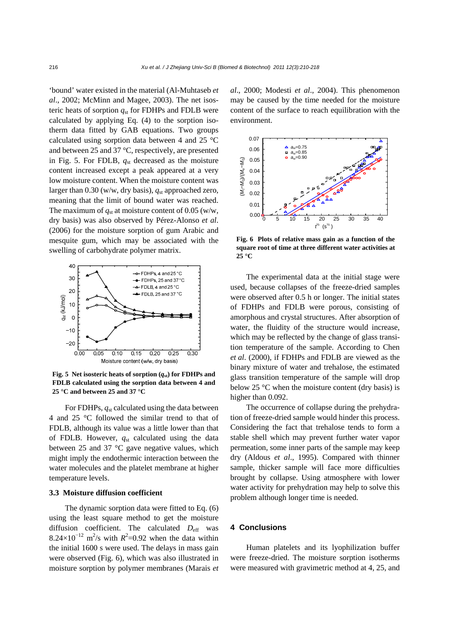'bound' water existed in the material (Al-Muhtaseb *et al*., 2002; McMinn and Magee, 2003). The net isosteric heats of sorption  $q_{st}$  for FDHPs and FDLB were calculated by applying Eq. (4) to the sorption isotherm data fitted by GAB equations. Two groups calculated using sorption data between 4 and 25 °C and between 25 and 37 °C, respectively, are presented in Fig. 5. For FDLB, *q*st decreased as the moisture content increased except a peak appeared at a very low moisture content. When the moisture content was larger than  $0.30$  (w/w, dry basis),  $q<sub>st</sub>$  approached zero, meaning that the limit of bound water was reached. The maximum of  $q_{st}$  at moisture content of 0.05 (w/w, dry basis) was also observed by Pérez-Alonso *et al*. (2006) for the moisture sorption of gum Arabic and mesquite gum, which may be associated with the swelling of carbohydrate polymer matrix.



**Fig. 5 Net isosteric heats of sorption (***q***st) for FDHPs and FDLB calculated using the sorption data between 4 and 25 °C and between 25 and 37 °C** 

For FDHPs, *q*st calculated using the data between 4 and 25 °C followed the similar trend to that of FDLB, although its value was a little lower than that of FDLB. However,  $q_{st}$  calculated using the data between 25 and 37 °C gave negative values, which might imply the endothermic interaction between the water molecules and the platelet membrane at higher temperature levels.

# **3.3 Moisture diffusion coefficient**

The dynamic sorption data were fitted to Eq. (6) using the least square method to get the moisture diffusion coefficient. The calculated  $D_{\text{eff}}$  was  $8.24 \times 10^{-12}$  m<sup>2</sup>/s with  $R^2$ =0.92 when the data within the initial 1600 s were used. The delays in mass gain were observed (Fig. 6), which was also illustrated in moisture sorption by polymer membranes (Marais *et* 

*al*., 2000; Modesti *et al*., 2004). This phenomenon may be caused by the time needed for the moisture content of the surface to reach equilibration with the environment.



**Fig. 6 Plots of relative mass gain as a function of the square root of time at three different water activities at 25 °C** 

The experimental data at the initial stage were used, because collapses of the freeze-dried samples were observed after 0.5 h or longer. The initial states of FDHPs and FDLB were porous, consisting of amorphous and crystal structures. After absorption of water, the fluidity of the structure would increase, which may be reflected by the change of glass transition temperature of the sample. According to Chen *et al*. (2000), if FDHPs and FDLB are viewed as the binary mixture of water and trehalose, the estimated glass transition temperature of the sample will drop below 25  $\degree$ C when the moisture content (dry basis) is higher than 0.092.

The occurrence of collapse during the prehydration of freeze-dried sample would hinder this process. Considering the fact that trehalose tends to form a stable shell which may prevent further water vapor permeation, some inner parts of the sample may keep dry (Aldous *et al*., 1995). Compared with thinner sample, thicker sample will face more difficulties brought by collapse. Using atmosphere with lower water activity for prehydration may help to solve this problem although longer time is needed.

### **4 Conclusions**

Human platelets and its lyophilization buffer were freeze-dried. The moisture sorption isotherms were measured with gravimetric method at 4, 25, and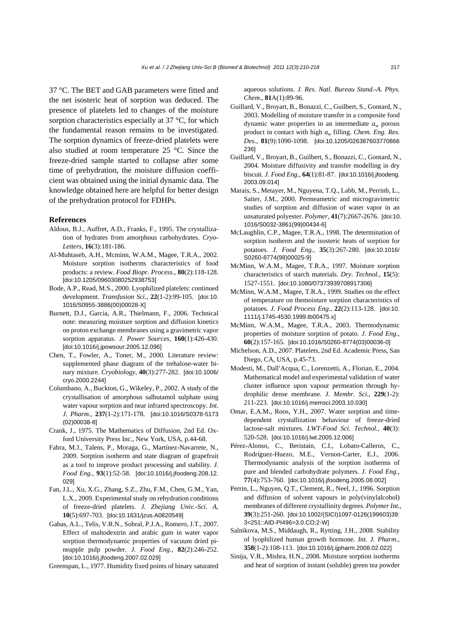37 °C. The BET and GAB parameters were fitted and the net isosteric heat of sorption was deduced. The presence of platelets led to changes of the moisture sorption characteristics especially at 37 °C, for which the fundamental reason remains to be investigated. The sorption dynamics of freeze-dried platelets were also studied at room temperature 25 °C. Since the freeze-dried sample started to collapse after some time of prehydration, the moisture diffusion coefficient was obtained using the initial dynamic data. The knowledge obtained here are helpful for better design of the prehydration protocol for FDHPs.

#### **References**

- Aldous, B.J., Auffret, A.D., Franks, F., 1995. The crystallization of hydrates from amorphous carbohydrates. *Cryo-Letters*, **16**(3):181-186.
- Al-Muhtaseb, A.H., Mcminn, W.A.M., Magee, T.R.A., 2002. Moisture sorption isotherms characteristics of food products: a review. *Food Biopr. Process.*, **80**(2):118-128. [doi:10.1205/09603080252938753]
- Bode, A.P., Read, M.S., 2000. Lyophilized platelets: continued development. *Transfusion Sci.*, **22**(1-2):99-105. [doi:10. 1016/S0955-3886(00)00028-X]
- Burnett, D.J., Garcia, A.R., Thielmann, F., 2006. Technical note: measuring moisture sorption and diffusion kinetics on proton exchange membranes using a gravimetric vapor sorption apparatus. *J. Power Sources*, **160**(1):426-430. [doi:10.1016/j.jpowsour.2005.12.096]
- Chen, T., Fowler, A., Toner, M., 2000. Literature review: supplemented phase diagram of the trehalose-water binary mixture. *Cryobiology*, **40**(3):277-282. [doi:10.1006/ cryo.2000.2244]
- Columbano, A., Buckton, G., Wikeley, P., 2002. A study of the crystallisation of amorphous salbutamol sulphate using water vapour sorption and near infrared spectroscopy. *Int. J. Pharm.*, **237**(1-2):171-178. [doi:10.1016/S0378-5173 (02)00038-8]
- Crank, J., 1975. The Mathematics of Diffusion, 2nd Ed. Oxford University Press Inc., New York, USA, p.44-68.
- Fabra, M.J., Talens, P., Moraga, G., Martínez-Navarrete, N., 2009. Sorption isotherm and state diagram of grapefruit as a tool to improve product processing and stability. *J. Food Eng.*, **93**(1):52-58. [doi:10.1016/j.jfoodeng.208.12. 029]
- Fan, J.L., Xu, X.G., Zhang, S.Z., Zhu, F.M., Chen, G.M., Yan, L.X., 2009. Experimental study on rehydration conditions of freeze-dried platelets. *J. Zhejiang Univ.-Sci. A*, **10**(5):697-703. [doi:10.1631/jzus.A0820549]
- Gabas, A.L., Telis, V.R.N., Sobral, P.J.A., Romero, J.T., 2007. Effect of maltodextrin and arabic gum in water vapor sorption thermodynamic properties of vacuum dried pineapple pulp powder. *J. Food Eng.*, **82**(2):246-252. [doi:10.1016/j.jfoodeng.2007.02.029]
- Greenspan, L., 1977. Humidity fixed points of binary saturated

aqueous solutions. *J. Res. Natl. Bureau Stand.-A. Phys. Chem.*, **81**A(1):89-96.

- Guillard, V., Broyart, B., Bonazzi, C., Guilbert, S., Gontard, N., 2003. Modelling of moisture transfer in a composite food dynamic water properties in an intermediate  $a_w$  porous product in contact with high *a*w filling. *Chem. Eng. Res. Des.*, **81**(9):1090-1098. [doi:10.1205/026387603770866 236]
- Guillard, V., Broyart, B., Guilbert, S., Bonazzi, C., Gontard, N., 2004. Moisture diffusivity and transfer modelling in dry biscuit. *J. Food Eng.*, **64**(1):81-87. [doi:10.1016/j.jfoodeng. 2003.09.014]
- Marais, S., Metayer, M., Nguyena, T.Q., Labb, M., Perrinb, L., Saiter, J.M., 2000. Permeametric and microgravimetric studies of sorption and diffusion of water vapor in an unsaturated polyester. *Polymer*, **41**(7):2667-2676. [doi:10. 1016/S0032-3861(99)00434-6]
- McLaughlin, C.P., Magee, T.R.A., 1998. The determination of sorption isotherm and the isosteric heats of sorption for potatoes. *J. Food Eng.*, **35**(3):267-280. [doi:10.1016/ S0260-8774(98)00025-9]
- McMinn, W.A.M., Magee, T.R.A., 1997. Moisture sorption characteristics of starch materials. *Dry. Technol.*, **15**(5): 1527-1551. [doi:10.1080/07373939708917306]
- McMinn, W.A.M., Magee, T.R.A., 1999. Studies on the effect of temperature on themoisture sorption characteristics of potatoes. *J. Food Process Eng.*, **22**(2):113-128. [doi:10. 1111/j.1745-4530.1999.tb00475.x]
- McMinn, W.A.M., Magee, T.R.A., 2003. Thermodynamic properties of moisture sorption of potato. *J. Food Eng.*, **60**(2):157-165. [doi:10.1016/S0260-8774(03)00036-0]
- Michelson, A.D., 2007. Platelets, 2nd Ed. Academic Press, San Diego, CA, USA, p.45-73.
- Modesti, M., Dall′Acqua, C., Lorenzetti, A., Florian, E., 2004. Mathematical model and experimental validation of water cluster influence upon vapour permeation through hydrophilic dense membrane. *J. Membr. Sci.*, **229**(1-2): 211-223. [doi:10.1016/j.memsci.2003.10.030]
- Omar, E.A.M., Roos, Y.H., 2007. Water sorption and timedependent crystallization behaviour of freeze-dried lactose-salt mixtures. *LWT-Food Sci. Technol.*, **40**(3): 520-528. [doi:10.1016/j.lwt.2005.12.006]
- Pérez-Alonso, C., Beristain, C.I., Lobato-Calleros, C., Rodríguez-Huezo, M.E., Vernon-Carter, E.J., 2006. Thermodynamic analysis of the sorption isotherms of pure and blended carbohydrate polymers. *J. Food Eng.*, **77**(4):753-760. [doi:10.1016/j.jfoodeng.2005.08.002]
- Perrin, L., Nguyen, Q.T., Clement, R., Neel, J., 1996. Sorption and diffusion of solvent vapours in poly(vinylalcohol) membranes of different crystallinity degrees. *Polymer Int.*, **39**(3):251-260. [doi:10.1002/(SICI)1097-0126(199603)39: 3<251::AID-PI496>3.0.CO;2-W]
- Salnikova, M.S., Middaugh, R., Rytting, J.H., 2008. Stability of lyophilized human growth hormone. *Int. J. Pharm.*, **358**(1-2):108-113. [doi:10.1016/j.ijpharm.2008.02.022]
- Sinija, V.R., Mishra, H.N., 2008. Moisture sorption isotherms and heat of sorption of instant (soluble) green tea powder